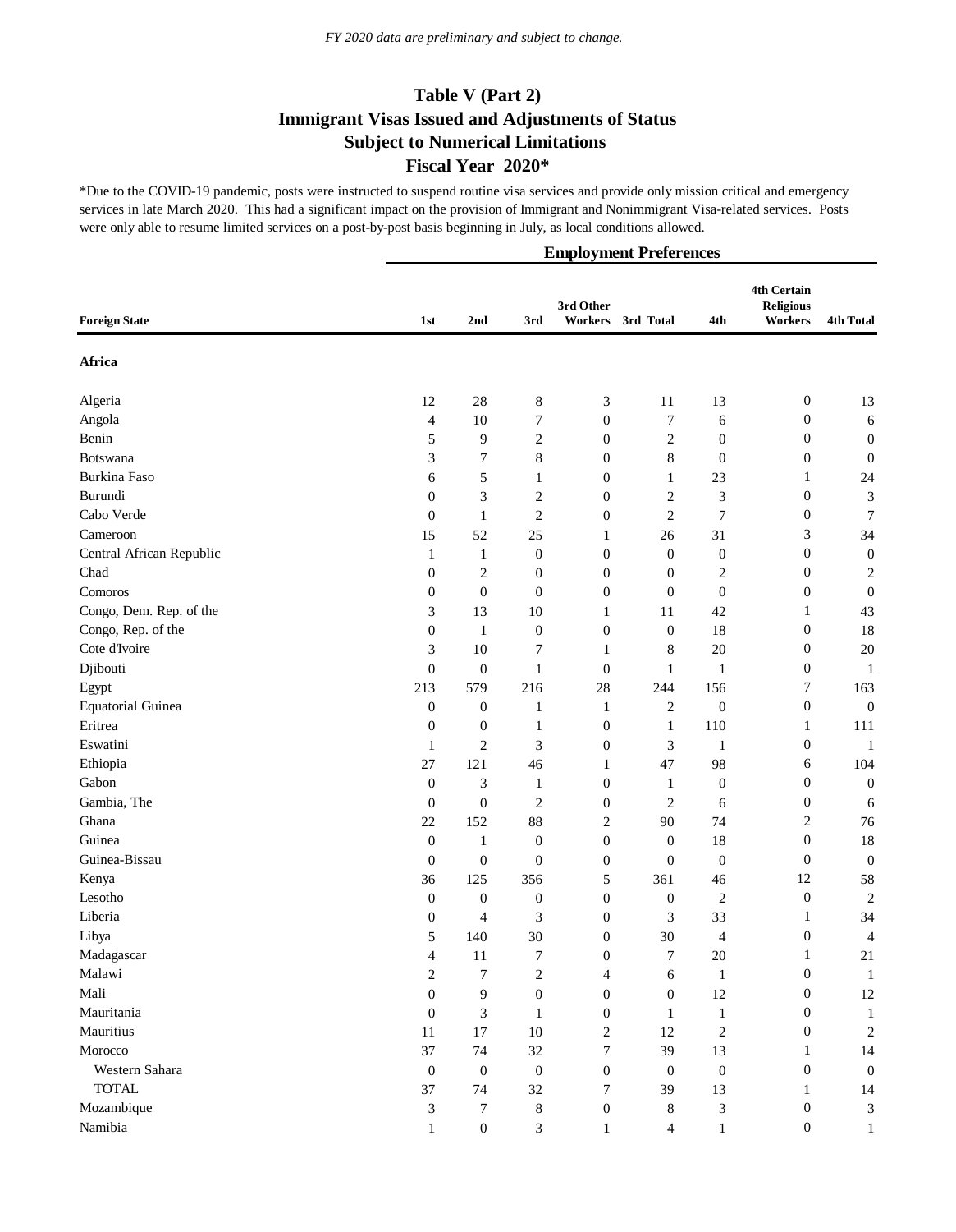\*Due to the COVID-19 pandemic, posts were instructed to suspend routine visa services and provide only mission critical and emergency services in late March 2020. This had a significant impact on the provision of Immigrant and Nonimmigrant Visa-related services. Posts were only able to resume limited services on a post-by-post basis beginning in July, as local conditions allowed.

|                          |                  | <b>Employment Preferences</b> |                  |                             |                  |                  |                                            |                  |  |  |  |
|--------------------------|------------------|-------------------------------|------------------|-----------------------------|------------------|------------------|--------------------------------------------|------------------|--|--|--|
| <b>Foreign State</b>     | 1st              | 2nd                           | 3rd              | 3rd Other<br><b>Workers</b> | 3rd Total        | 4th              | 4th Certain<br><b>Religious</b><br>Workers | <b>4th Total</b> |  |  |  |
| Africa                   |                  |                               |                  |                             |                  |                  |                                            |                  |  |  |  |
| Algeria                  | 12               | $28\,$                        | $\,8\,$          | $\mathfrak{Z}$              | 11               | 13               | $\mathbf{0}$                               | 13               |  |  |  |
| Angola                   | 4                | 10                            | 7                | $\boldsymbol{0}$            | 7                | 6                | $\boldsymbol{0}$                           | 6                |  |  |  |
| Benin                    | 5                | 9                             | $\boldsymbol{2}$ | $\boldsymbol{0}$            | $\overline{c}$   | $\boldsymbol{0}$ | $\boldsymbol{0}$                           | $\boldsymbol{0}$ |  |  |  |
| <b>Botswana</b>          | 3                | 7                             | $\,8\,$          | $\boldsymbol{0}$            | $8\,$            | $\boldsymbol{0}$ | $\boldsymbol{0}$                           | $\mathbf{0}$     |  |  |  |
| Burkina Faso             | 6                | 5                             | $\mathbf{1}$     | $\boldsymbol{0}$            | 1                | 23               | 1                                          | 24               |  |  |  |
| Burundi                  | $\boldsymbol{0}$ | 3                             | 2                | $\boldsymbol{0}$            | $\overline{c}$   | 3                | $\boldsymbol{0}$                           | 3                |  |  |  |
| Cabo Verde               | $\boldsymbol{0}$ | $\mathbf{1}$                  | 2                | $\boldsymbol{0}$            | $\overline{c}$   | 7                | 0                                          | $\boldsymbol{7}$ |  |  |  |
| Cameroon                 | 15               | 52                            | $25\,$           | 1                           | 26               | 31               | 3                                          | 34               |  |  |  |
| Central African Republic | 1                | 1                             | $\boldsymbol{0}$ | $\boldsymbol{0}$            | $\boldsymbol{0}$ | $\boldsymbol{0}$ | $\boldsymbol{0}$                           | $\boldsymbol{0}$ |  |  |  |
| Chad                     | $\boldsymbol{0}$ | $\overline{c}$                | 0                | $\boldsymbol{0}$            | $\boldsymbol{0}$ | $\overline{c}$   | $\boldsymbol{0}$                           | $\overline{c}$   |  |  |  |
| Comoros                  | $\boldsymbol{0}$ | $\boldsymbol{0}$              | $\boldsymbol{0}$ | $\boldsymbol{0}$            | $\boldsymbol{0}$ | $\mathbf{0}$     | $\boldsymbol{0}$                           | $\mathbf{0}$     |  |  |  |
| Congo, Dem. Rep. of the  | 3                | 13                            | 10               | 1                           | 11               | 42               | 1                                          | 43               |  |  |  |
| Congo, Rep. of the       | $\boldsymbol{0}$ | $\mathbf{1}$                  | 0                | $\boldsymbol{0}$            | $\boldsymbol{0}$ | 18               | $\boldsymbol{0}$                           | 18               |  |  |  |
| Cote d'Ivoire            | 3                | 10                            | 7                | $\mathbf{1}$                | 8                | 20               | $\boldsymbol{0}$                           | $20\,$           |  |  |  |
| Djibouti                 | $\boldsymbol{0}$ | $\boldsymbol{0}$              | $\mathbf{1}$     | $\boldsymbol{0}$            | $\mathbf{1}$     | $\mathbf{1}$     | $\boldsymbol{0}$                           | 1                |  |  |  |
| Egypt                    | 213              | 579                           | 216              | 28                          | 244              | 156              | $\boldsymbol{7}$                           | 163              |  |  |  |
| <b>Equatorial Guinea</b> | $\boldsymbol{0}$ | $\boldsymbol{0}$              | $\mathbf{1}$     | $\mathbf{1}$                | $\overline{2}$   | $\boldsymbol{0}$ | $\boldsymbol{0}$                           | $\boldsymbol{0}$ |  |  |  |
| Eritrea                  | $\boldsymbol{0}$ | $\boldsymbol{0}$              | $\mathbf{1}$     | $\boldsymbol{0}$            | $\mathbf{1}$     | 110              | 1                                          | 111              |  |  |  |
| Eswatini                 | 1                | $\overline{c}$                | 3                | $\boldsymbol{0}$            | 3                | $\mathbf{1}$     | $\boldsymbol{0}$                           | $\mathbf{1}$     |  |  |  |
| Ethiopia                 | 27               | 121                           | 46               | 1                           | 47               | 98               | 6                                          | 104              |  |  |  |
| Gabon                    | $\boldsymbol{0}$ | 3                             | 1                | $\boldsymbol{0}$            | $\mathbf{1}$     | $\boldsymbol{0}$ | $\boldsymbol{0}$                           | $\boldsymbol{0}$ |  |  |  |
| Gambia, The              | $\boldsymbol{0}$ | $\boldsymbol{0}$              | 2                | $\boldsymbol{0}$            | $\overline{2}$   | 6                | $\boldsymbol{0}$                           | 6                |  |  |  |
| Ghana                    | 22               | 152                           | 88               | 2                           | 90               | 74               | 2                                          | 76               |  |  |  |
| Guinea                   | $\boldsymbol{0}$ | $\mathbf{1}$                  | $\boldsymbol{0}$ | $\boldsymbol{0}$            | $\mathbf{0}$     | 18               | $\boldsymbol{0}$                           | 18               |  |  |  |
| Guinea-Bissau            | $\boldsymbol{0}$ | $\boldsymbol{0}$              | $\boldsymbol{0}$ | $\boldsymbol{0}$            | $\boldsymbol{0}$ | $\boldsymbol{0}$ | $\mathbf{0}$                               | $\boldsymbol{0}$ |  |  |  |
| Kenya                    | 36               | 125                           | 356              | 5                           | 361              | 46               | 12                                         | 58               |  |  |  |
| Lesotho                  | $\boldsymbol{0}$ | $\boldsymbol{0}$              | $\boldsymbol{0}$ | $\boldsymbol{0}$            | $\boldsymbol{0}$ | $\overline{c}$   | $\boldsymbol{0}$                           | $\overline{c}$   |  |  |  |
| Liberia                  | $\boldsymbol{0}$ | 4                             | 3                | $\boldsymbol{0}$            | 3                | 33               | 1                                          | 34               |  |  |  |
| Libya                    | Ć                | 140                           | $30\,$           | $\boldsymbol{0}$            | $30\,$           | 4                | $\boldsymbol{0}$                           | 4                |  |  |  |
| Madagascar               | $\overline{4}$   | 11                            | 7                | $\boldsymbol{0}$            | $\boldsymbol{7}$ | $20\,$           | 1                                          | 21               |  |  |  |
| Malawi                   | 2                | $\tau$                        | 2                | 4                           | 6                | $\mathbf{1}$     | $\boldsymbol{0}$                           | $\mathbf{1}$     |  |  |  |
| Mali                     | $\boldsymbol{0}$ | 9                             | $\boldsymbol{0}$ | $\boldsymbol{0}$            | $\mathbf{0}$     | 12               | $\boldsymbol{0}$                           | 12               |  |  |  |
| Mauritania               | $\mathbf{0}$     | 3                             | $\mathbf{1}$     | $\boldsymbol{0}$            | $\mathbf{1}$     | $\mathbf{1}$     | $\mathbf{0}$                               | $\mathbf{1}$     |  |  |  |
| Mauritius                | 11               | $17\,$                        | $10\,$           | $\boldsymbol{2}$            | 12               | $\sqrt{2}$       | $\boldsymbol{0}$                           | $\overline{c}$   |  |  |  |
| Morocco                  | 37               | 74                            | 32               | 7                           | 39               | 13               | 1                                          | 14               |  |  |  |
| Western Sahara           | $\boldsymbol{0}$ | $\boldsymbol{0}$              | $\boldsymbol{0}$ | $\boldsymbol{0}$            | $\boldsymbol{0}$ | $\boldsymbol{0}$ | $\boldsymbol{0}$                           | $\boldsymbol{0}$ |  |  |  |
| <b>TOTAL</b>             | 37               | 74                            | $32\,$           | 7                           | 39               | 13               | $\mathbf{1}$                               | 14               |  |  |  |
| Mozambique               | $\mathfrak 3$    | 7                             | $8\,$            | $\boldsymbol{0}$            | $\,8\,$          | 3                | $\boldsymbol{0}$                           | 3                |  |  |  |
| Namibia                  | $\mathbf{1}$     | $\boldsymbol{0}$              | 3                | $\mathbf{1}$                | $\overline{4}$   | $\mathbf{1}$     | $\boldsymbol{0}$                           | $\mathbf{1}$     |  |  |  |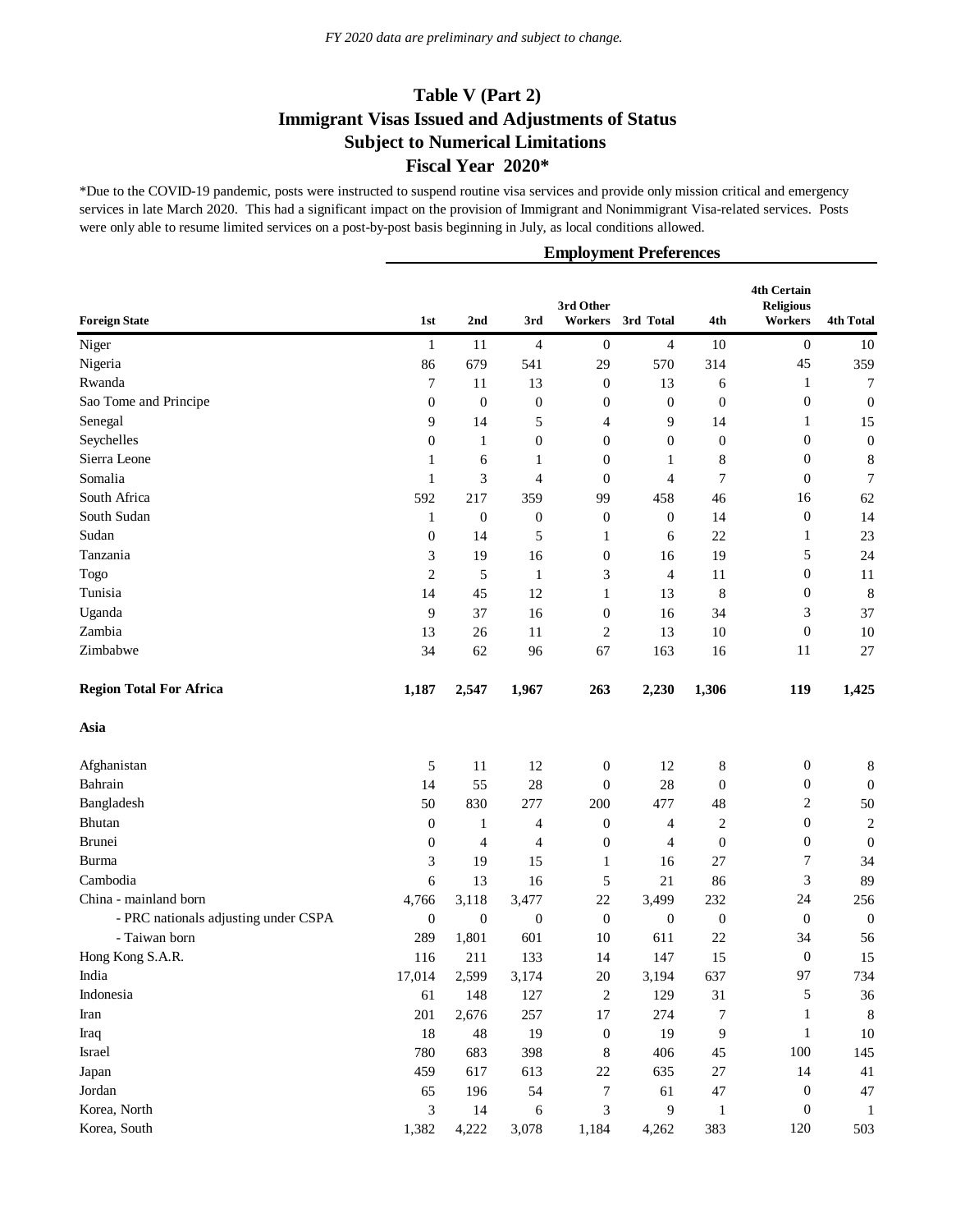\*Due to the COVID-19 pandemic, posts were instructed to suspend routine visa services and provide only mission critical and emergency services in late March 2020. This had a significant impact on the provision of Immigrant and Nonimmigrant Visa-related services. Posts were only able to resume limited services on a post-by-post basis beginning in July, as local conditions allowed.

| <b>Foreign State</b>                 | 1st              | 2nd              | 3rd              | 3rd Other<br>Workers | 3rd Total        | 4th              | <b>4th Certain</b><br><b>Religious</b><br>Workers | <b>4th Total</b> |
|--------------------------------------|------------------|------------------|------------------|----------------------|------------------|------------------|---------------------------------------------------|------------------|
| Niger                                | 1                | 11               | 4                | $\boldsymbol{0}$     | 4                | 10               | $\boldsymbol{0}$                                  | 10               |
| Nigeria                              | 86               | 679              | 541              | 29                   | 570              | 314              | 45                                                | 359              |
| Rwanda                               | 7                | 11               | 13               | $\mathbf{0}$         | 13               | 6                | 1                                                 | 7                |
| Sao Tome and Principe                | $\boldsymbol{0}$ | $\mathbf{0}$     | $\boldsymbol{0}$ | $\boldsymbol{0}$     | $\boldsymbol{0}$ | $\boldsymbol{0}$ | $\boldsymbol{0}$                                  | $\boldsymbol{0}$ |
| Senegal                              | 9                | 14               | 5                | 4                    | 9                | 14               | 1                                                 | 15               |
| Seychelles                           | $\mathbf{0}$     | 1                | $\boldsymbol{0}$ | $\boldsymbol{0}$     | $\boldsymbol{0}$ | $\boldsymbol{0}$ | $\boldsymbol{0}$                                  | $\boldsymbol{0}$ |
| Sierra Leone                         | 1                | 6                | 1                | $\boldsymbol{0}$     | 1                | 8                | $\boldsymbol{0}$                                  | $\,$ 8 $\,$      |
| Somalia                              | 1                | 3                | 4                | $\mathbf{0}$         | 4                | 7                | $\boldsymbol{0}$                                  | 7                |
| South Africa                         | 592              | 217              | 359              | 99                   | 458              | 46               | 16                                                | 62               |
| South Sudan                          | 1                | $\mathbf{0}$     | $\boldsymbol{0}$ | $\boldsymbol{0}$     | $\boldsymbol{0}$ | 14               | $\boldsymbol{0}$                                  | 14               |
| Sudan                                | $\boldsymbol{0}$ | 14               | 5                | 1                    | 6                | 22               | 1                                                 | 23               |
| Tanzania                             | 3                | 19               | 16               | $\boldsymbol{0}$     | 16               | 19               | 5                                                 | 24               |
| Togo                                 | $\mathfrak{2}$   | 5                | $\mathbf{1}$     | 3                    | 4                | 11               | $\boldsymbol{0}$                                  | 11               |
| Tunisia                              | 14               | 45               | 12               | 1                    | 13               | 8                | $\boldsymbol{0}$                                  | $\,8\,$          |
| Uganda                               | 9                | 37               | 16               | $\boldsymbol{0}$     | 16               | 34               | 3                                                 | 37               |
| Zambia                               | 13               | 26               | 11               | $\overline{c}$       | 13               | 10               | $\boldsymbol{0}$                                  | 10               |
| Zimbabwe                             | 34               | 62               | 96               | 67                   | 163              | 16               | 11                                                | 27               |
| <b>Region Total For Africa</b>       | 1,187            | 2,547            | 1,967            | 263                  | 2,230            | 1,306            | 119                                               | 1,425            |
| Asia                                 |                  |                  |                  |                      |                  |                  |                                                   |                  |
| Afghanistan                          | 5                | 11               | 12               | $\boldsymbol{0}$     | 12               | 8                | $\boldsymbol{0}$                                  | 8                |
| Bahrain                              | 14               | 55               | 28               | $\mathbf{0}$         | 28               | $\boldsymbol{0}$ | $\boldsymbol{0}$                                  | $\boldsymbol{0}$ |
| Bangladesh                           | 50               | 830              | 277              | 200                  | 477              | 48               | 2                                                 | 50               |
| Bhutan                               | $\boldsymbol{0}$ | 1                | 4                | $\mathbf{0}$         | 4                | $\overline{c}$   | $\boldsymbol{0}$                                  | $\sqrt{2}$       |
| <b>Brunei</b>                        | $\boldsymbol{0}$ | 4                | 4                | $\boldsymbol{0}$     | 4                | $\mathbf{0}$     | $\boldsymbol{0}$                                  | $\boldsymbol{0}$ |
| Burma                                | 3                | 19               | 15               | 1                    | 16               | 27               | 7                                                 | 34               |
| Cambodia                             | 6                | 13               | 16               | 5                    | 21               | 86               | 3                                                 | 89               |
| China - mainland born                | 4,766            | 3,118            | 3,477            | 22                   | 3,499            | 232              | 24                                                | 256              |
| - PRC nationals adjusting under CSPA | $\boldsymbol{0}$ | $\boldsymbol{0}$ | $\boldsymbol{0}$ | $\boldsymbol{0}$     | $\boldsymbol{0}$ | $\boldsymbol{0}$ | $\boldsymbol{0}$                                  | $\boldsymbol{0}$ |
| - Taiwan born                        | 289              | 1,801            | 601              | 10                   | 611              | 22               | 34                                                | 56               |
| Hong Kong S.A.R.                     | 116              | 211              | 133              | 14                   | 147              | 15               | $\mathbf{0}$                                      | 15               |
| India                                | 17,014           | 2,599            | 3,174            | $20\,$               | 3,194            | 637              | 97                                                | 734              |
| Indonesia                            | 61               | 148              | 127              | $\boldsymbol{2}$     | 129              | 31               | 5                                                 | 36               |
| Iran                                 | 201              | 2,676            | 257              | 17                   | 274              | 7                | $\mathbf{1}$                                      | $8\phantom{1}$   |
| Iraq                                 | 18               | 48               | 19               | $\boldsymbol{0}$     | 19               | 9                | $\mathbf{1}$                                      | 10               |
| Israel                               | 780              | 683              | 398              | 8                    | 406              | 45               | 100                                               | 145              |
| Japan                                | 459              | 617              | 613              | 22                   | 635              | $27\,$           | 14                                                | 41               |
| Jordan                               | 65               | 196              | 54               | $\boldsymbol{7}$     | 61               | $47\,$           | $\boldsymbol{0}$                                  | $47\,$           |
| Korea, North                         | 3                | 14               | 6                | 3                    | 9                | 1                | $\boldsymbol{0}$                                  | $\mathbf{1}$     |
| Korea, South                         | 1,382            | 4,222            | 3,078            | 1,184                | 4,262            | 383              | 120                                               | 503              |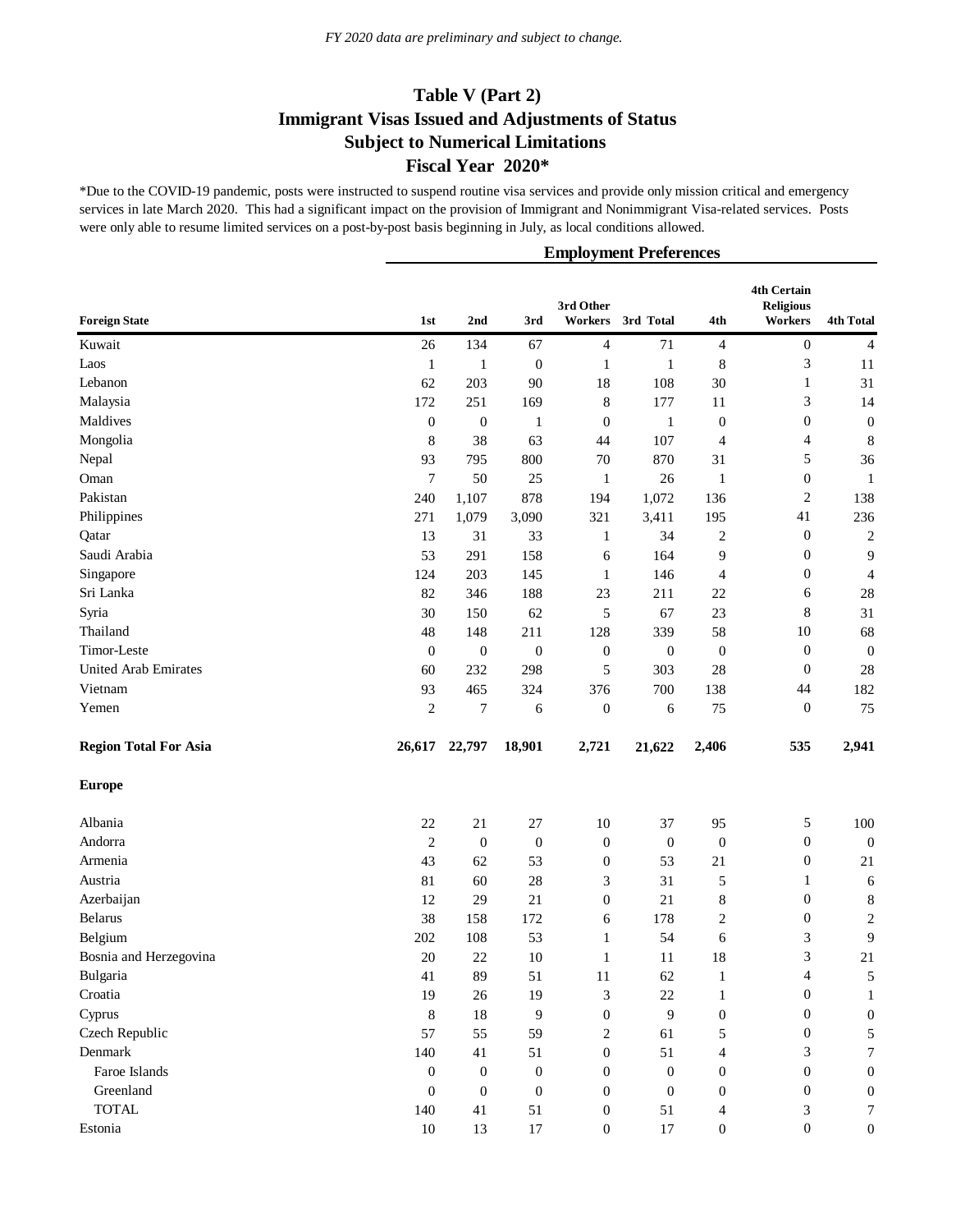\*Due to the COVID-19 pandemic, posts were instructed to suspend routine visa services and provide only mission critical and emergency services in late March 2020. This had a significant impact on the provision of Immigrant and Nonimmigrant Visa-related services. Posts were only able to resume limited services on a post-by-post basis beginning in July, as local conditions allowed.

| <b>Foreign State</b>         | 1st              | 2nd              | 3rd              | 3rd Other<br>Workers | 3rd Total        | 4th              | <b>4th Certain</b><br><b>Religious</b><br>Workers | <b>4th Total</b> |
|------------------------------|------------------|------------------|------------------|----------------------|------------------|------------------|---------------------------------------------------|------------------|
| Kuwait                       | 26               | 134              | 67               | 4                    | 71               | $\overline{4}$   | $\boldsymbol{0}$                                  | $\overline{4}$   |
| Laos                         | $\mathbf{1}$     | 1                | $\mathbf{0}$     | $\mathbf{1}$         | $\mathbf{1}$     | 8                | 3                                                 | 11               |
| Lebanon                      | 62               | 203              | 90               | 18                   | 108              | 30               | $\mathbf{1}$                                      | 31               |
| Malaysia                     | 172              | 251              | 169              | $\,8\,$              | 177              | 11               | 3                                                 | 14               |
| Maldives                     | $\boldsymbol{0}$ | $\mathbf{0}$     | $\mathbf{1}$     | $\mathbf{0}$         | $\mathbf{1}$     | $\boldsymbol{0}$ | $\boldsymbol{0}$                                  | $\boldsymbol{0}$ |
| Mongolia                     | 8                | 38               | 63               | 44                   | 107              | 4                | 4                                                 | $\,8\,$          |
| Nepal                        | 93               | 795              | 800              | $70\,$               | 870              | 31               | 5                                                 | 36               |
| Oman                         | 7                | 50               | 25               | $\mathbf{1}$         | 26               | 1                | $\boldsymbol{0}$                                  | $\mathbf{1}$     |
| Pakistan                     | 240              | 1,107            | 878              | 194                  | 1,072            | 136              | $\boldsymbol{2}$                                  | 138              |
| Philippines                  | 271              | 1,079            | 3,090            | 321                  | 3,411            | 195              | 41                                                | 236              |
| Qatar                        | 13               | 31               | 33               | $\mathbf{1}$         | 34               | $\overline{c}$   | $\boldsymbol{0}$                                  | $\sqrt{2}$       |
| Saudi Arabia                 | 53               | 291              | 158              | 6                    | 164              | 9                | $\boldsymbol{0}$                                  | 9                |
| Singapore                    | 124              | 203              | 145              | $\mathbf{1}$         | 146              | 4                | $\boldsymbol{0}$                                  | $\overline{4}$   |
| Sri Lanka                    | 82               | 346              | 188              | 23                   | 211              | $22\,$           | 6                                                 | 28               |
| Syria                        | 30               | 150              | 62               | 5                    | 67               | 23               | 8                                                 | 31               |
| Thailand                     | 48               | 148              | 211              | 128                  | 339              | 58               | 10                                                | 68               |
| Timor-Leste                  | $\mathbf{0}$     | $\boldsymbol{0}$ | $\boldsymbol{0}$ | $\boldsymbol{0}$     | $\boldsymbol{0}$ | $\boldsymbol{0}$ | $\boldsymbol{0}$                                  | $\boldsymbol{0}$ |
| <b>United Arab Emirates</b>  | 60               | 232              | 298              | 5                    | 303              | $28\,$           | $\mathbf{0}$                                      | 28               |
| Vietnam                      | 93               | 465              | 324              | 376                  | 700              | 138              | 44                                                | 182              |
| Yemen                        | $\mathfrak{2}$   | $\tau$           | 6                | $\boldsymbol{0}$     | 6                | 75               | $\mathbf{0}$                                      | 75               |
| <b>Region Total For Asia</b> | 26,617           | 22,797           | 18,901           | 2,721                | 21,622           | 2,406            | 535                                               | 2,941            |
| <b>Europe</b>                |                  |                  |                  |                      |                  |                  |                                                   |                  |
| Albania                      | 22               | 21               | 27               | 10                   | 37               | 95               | 5                                                 | 100              |
| Andorra                      | $\mathfrak{2}$   | $\mathbf{0}$     | $\boldsymbol{0}$ | $\boldsymbol{0}$     | $\boldsymbol{0}$ | $\boldsymbol{0}$ | $\boldsymbol{0}$                                  | $\boldsymbol{0}$ |
| Armenia                      | 43               | 62               | 53               | $\boldsymbol{0}$     | 53               | 21               | $\boldsymbol{0}$                                  | 21               |
| Austria                      | 81               | 60               | 28               | 3                    | 31               | 5                | $\mathbf{1}$                                      | 6                |
| Azerbaijan                   | 12               | 29               | 21               | $\boldsymbol{0}$     | 21               | $\,8\,$          | $\boldsymbol{0}$                                  | $\,$ 8 $\,$      |
| Belarus                      | 38               | 158              | 172              | 6                    | 178              | $\boldsymbol{2}$ | $\boldsymbol{0}$                                  | $\boldsymbol{2}$ |
| Belgium                      | 202              | 108              | 53               | $\mathbf{1}$         | 54               | 6                | 3                                                 | $\mathbf{9}$     |
| Bosnia and Herzegovina       | 20               | 22               | 10               | 1                    | 11               | 18               | 3                                                 | 21               |
| Bulgaria                     | 41               | 89               | 51               | 11                   | 62               | 1                | 4                                                 | 5                |
| Croatia                      | 19               | 26               | 19               | 3                    | 22               | $\mathbf{1}$     | $\boldsymbol{0}$                                  | 1                |
| Cyprus                       | 8                | 18               | 9                | $\mathbf{0}$         | 9                | $\boldsymbol{0}$ | $\boldsymbol{0}$                                  | $\boldsymbol{0}$ |
| Czech Republic               | 57               | 55               | 59               | 2                    | 61               | 5                | $\boldsymbol{0}$                                  | 5                |
| Denmark                      | 140              | 41               | 51               | $\mathbf{0}$         | 51               | 4                | 3                                                 | 7                |
| Faroe Islands                | $\boldsymbol{0}$ | $\boldsymbol{0}$ | $\boldsymbol{0}$ | $\mathbf{0}$         | $\mathbf{0}$     | $\boldsymbol{0}$ | $\boldsymbol{0}$                                  | $\boldsymbol{0}$ |
| Greenland                    | $\theta$         | $\boldsymbol{0}$ | $\boldsymbol{0}$ | $\mathbf{0}$         | $\boldsymbol{0}$ | $\boldsymbol{0}$ | $\boldsymbol{0}$                                  | $\boldsymbol{0}$ |
| <b>TOTAL</b>                 | 140              | 41               | 51               | $\boldsymbol{0}$     | 51               | 4                | 3                                                 | 7                |
| Estonia                      | $10\,$           | 13               | $17\,$           | $\boldsymbol{0}$     | $17\,$           | $\boldsymbol{0}$ | $\boldsymbol{0}$                                  | $\boldsymbol{0}$ |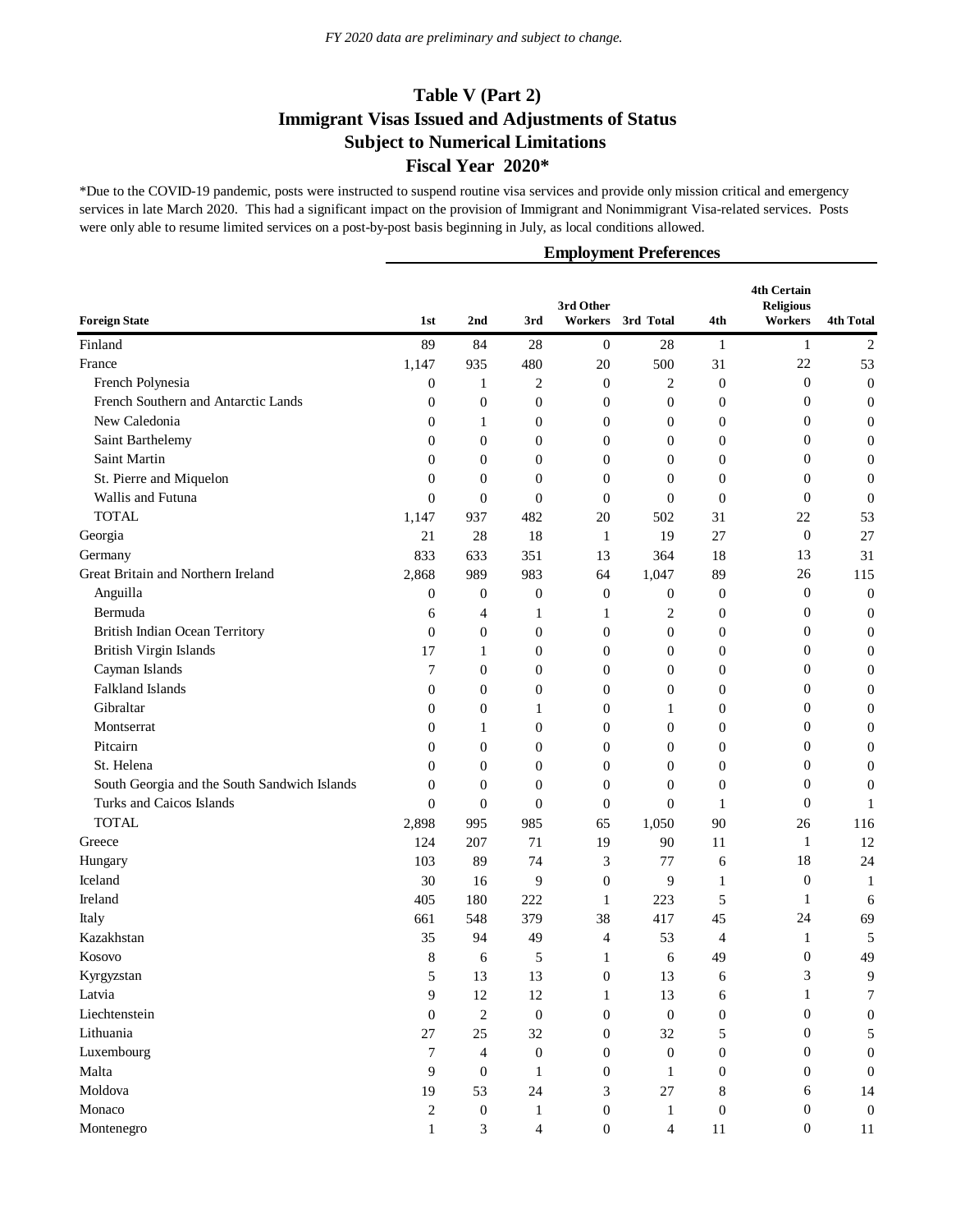\*Due to the COVID-19 pandemic, posts were instructed to suspend routine visa services and provide only mission critical and emergency services in late March 2020. This had a significant impact on the provision of Immigrant and Nonimmigrant Visa-related services. Posts were only able to resume limited services on a post-by-post basis beginning in July, as local conditions allowed.

| <b>Foreign State</b>                         | 1st              | 2nd              | 3rd              | 3rd Other<br>Workers | 3rd Total        | 4th              | 4th Certain<br><b>Religious</b><br>Workers | <b>4th Total</b> |
|----------------------------------------------|------------------|------------------|------------------|----------------------|------------------|------------------|--------------------------------------------|------------------|
|                                              |                  |                  |                  |                      |                  |                  |                                            |                  |
| Finland                                      | 89               | 84               | 28               | $\mathbf{0}$         | 28               | $\mathbf{1}$     | $\mathbf{1}$                               | $\sqrt{2}$       |
| France                                       | 1,147            | 935              | 480              | 20                   | 500              | 31               | $22\,$                                     | 53               |
| French Polynesia                             | $\boldsymbol{0}$ | 1                | 2                | $\boldsymbol{0}$     | 2                | $\boldsymbol{0}$ | $\boldsymbol{0}$                           | $\boldsymbol{0}$ |
| French Southern and Antarctic Lands          | $\boldsymbol{0}$ | $\boldsymbol{0}$ | $\boldsymbol{0}$ | $\boldsymbol{0}$     | $\mathbf{0}$     | $\boldsymbol{0}$ | $\boldsymbol{0}$                           | $\boldsymbol{0}$ |
| New Caledonia                                | $\boldsymbol{0}$ | $\mathbf{1}$     | $\boldsymbol{0}$ | $\boldsymbol{0}$     | $\boldsymbol{0}$ | $\boldsymbol{0}$ | $\boldsymbol{0}$                           | $\boldsymbol{0}$ |
| Saint Barthelemy                             | $\boldsymbol{0}$ | $\boldsymbol{0}$ | $\boldsymbol{0}$ | $\boldsymbol{0}$     | $\boldsymbol{0}$ | $\boldsymbol{0}$ | $\boldsymbol{0}$                           | $\boldsymbol{0}$ |
| Saint Martin                                 | $\theta$         | $\boldsymbol{0}$ | 0                | $\boldsymbol{0}$     | $\boldsymbol{0}$ | $\boldsymbol{0}$ | $\boldsymbol{0}$                           | $\boldsymbol{0}$ |
| St. Pierre and Miquelon                      | $\theta$         | $\theta$         | $\boldsymbol{0}$ | $\overline{0}$       | $\theta$         | $\boldsymbol{0}$ | $\boldsymbol{0}$                           | $\boldsymbol{0}$ |
| Wallis and Futuna                            | $\theta$         | $\theta$         | $\overline{0}$   | $\theta$             | $\theta$         | $\theta$         | $\mathbf{0}$                               | $\boldsymbol{0}$ |
| <b>TOTAL</b>                                 | 1,147            | 937              | 482              | 20                   | 502              | 31               | 22                                         | 53               |
| Georgia                                      | 21               | 28               | 18               | $\mathbf{1}$         | 19               | 27               | $\mathbf{0}$                               | 27               |
| Germany                                      | 833              | 633              | 351              | 13                   | 364              | 18               | 13                                         | 31               |
| Great Britain and Northern Ireland           | 2,868            | 989              | 983              | 64                   | 1,047            | 89               | 26                                         | 115              |
| Anguilla                                     | $\boldsymbol{0}$ | $\boldsymbol{0}$ | $\boldsymbol{0}$ | $\boldsymbol{0}$     | $\boldsymbol{0}$ | $\boldsymbol{0}$ | $\boldsymbol{0}$                           | $\boldsymbol{0}$ |
| Bermuda                                      | 6                | 4                | 1                | 1                    | $\overline{c}$   | $\boldsymbol{0}$ | $\boldsymbol{0}$                           | $\boldsymbol{0}$ |
| British Indian Ocean Territory               | $\theta$         | $\boldsymbol{0}$ | $\boldsymbol{0}$ | $\boldsymbol{0}$     | $\boldsymbol{0}$ | $\boldsymbol{0}$ | $\boldsymbol{0}$                           | $\boldsymbol{0}$ |
| British Virgin Islands                       | 17               | $\mathbf{1}$     | $\boldsymbol{0}$ | $\boldsymbol{0}$     | $\boldsymbol{0}$ | $\boldsymbol{0}$ | $\boldsymbol{0}$                           | $\boldsymbol{0}$ |
| Cayman Islands                               | 7                | $\boldsymbol{0}$ | $\boldsymbol{0}$ | $\boldsymbol{0}$     | $\boldsymbol{0}$ | $\boldsymbol{0}$ | $\boldsymbol{0}$                           | $\boldsymbol{0}$ |
| Falkland Islands                             | $\theta$         | $\boldsymbol{0}$ | 0                | $\boldsymbol{0}$     | $\boldsymbol{0}$ | $\boldsymbol{0}$ | $\boldsymbol{0}$                           | $\boldsymbol{0}$ |
| Gibraltar                                    | $\theta$         | $\boldsymbol{0}$ | 1                | $\boldsymbol{0}$     | 1                | $\boldsymbol{0}$ | $\boldsymbol{0}$                           | $\boldsymbol{0}$ |
| Montserrat                                   | 0                | 1                | 0                | $\theta$             | $\theta$         | $\boldsymbol{0}$ | $\boldsymbol{0}$                           | $\boldsymbol{0}$ |
| Pitcairn                                     | $\theta$         | $\theta$         | $\overline{0}$   | $\theta$             | $\theta$         | $\boldsymbol{0}$ | $\boldsymbol{0}$                           | $\boldsymbol{0}$ |
| St. Helena                                   | $\theta$         | $\theta$         | 0                | $\theta$             | $\theta$         | $\boldsymbol{0}$ | $\boldsymbol{0}$                           | $\boldsymbol{0}$ |
| South Georgia and the South Sandwich Islands | $\theta$         | $\theta$         | $\mathbf{0}$     | $\boldsymbol{0}$     | $\theta$         | $\boldsymbol{0}$ | $\boldsymbol{0}$                           | $\boldsymbol{0}$ |
| Turks and Caicos Islands                     | $\theta$         | $\theta$         | $\mathbf{0}$     | $\boldsymbol{0}$     | $\theta$         | 1                | $\mathbf{0}$                               | 1                |
| <b>TOTAL</b>                                 | 2,898            | 995              | 985              | 65                   | 1,050            | 90               | 26                                         | 116              |
| Greece                                       | 124              | 207              | 71               | 19                   | 90               | 11               | $\mathbf{1}$                               | 12               |
| Hungary                                      | 103              | 89               | 74               | 3                    | 77               | 6                | 18                                         | 24               |
| Iceland                                      | 30               | 16               | 9                | $\boldsymbol{0}$     | 9                | $\mathbf{1}$     | $\boldsymbol{0}$                           | $\mathbf{1}$     |
| Ireland                                      | 405              | 180              | 222              | $\mathbf{1}$         | 223              | 5                | $\mathbf{1}$                               | 6                |
| Italy                                        | 661              | 548              | 379              | 38                   | 417              | 45               | 24                                         | 69               |
| Kazakhstan                                   | 35               | 94               | 49               | $\overline{4}$       | 53               | 4                | 1                                          | 5                |
| Kosovo                                       | 8                | 6                | 5                | 1                    | 6                | 49               | 0                                          | 49               |
| Kyrgyzstan                                   | 5                | 13               | 13               | $\boldsymbol{0}$     | 13               | 6                | 3                                          | 9                |
| Latvia                                       | 9                | 12               | 12               | 1                    | 13               | 6                | 1                                          | 7                |
| Liechtenstein                                | $\overline{0}$   | $\mathbf{2}$     | $\boldsymbol{0}$ | $\boldsymbol{0}$     | $\boldsymbol{0}$ | $\boldsymbol{0}$ | $\boldsymbol{0}$                           | $\boldsymbol{0}$ |
| Lithuania                                    | 27               | 25               | 32               | $\boldsymbol{0}$     | 32               | 5                | $\boldsymbol{0}$                           | 5                |
| Luxembourg                                   | 7                | $\overline{4}$   | $\boldsymbol{0}$ | $\boldsymbol{0}$     | $\boldsymbol{0}$ | $\boldsymbol{0}$ | 0                                          | $\boldsymbol{0}$ |
| Malta                                        | 9                | $\mathbf{0}$     | $\mathbf{1}$     | $\boldsymbol{0}$     | $\mathbf{1}$     | $\boldsymbol{0}$ | $\boldsymbol{0}$                           | $\overline{0}$   |
| Moldova                                      | 19               | 53               | 24               | $\mathfrak{Z}$       | 27               | $\,8\,$          | 6                                          | 14               |
| Monaco                                       | 2                | $\boldsymbol{0}$ | $\mathbf{1}$     | $\boldsymbol{0}$     | $\mathbf{1}$     | $\boldsymbol{0}$ | $\boldsymbol{0}$                           | $\overline{0}$   |
| Montenegro                                   | 1                | 3                | $\overline{4}$   | $\boldsymbol{0}$     | $\overline{4}$   | 11               | $\boldsymbol{0}$                           | $11\,$           |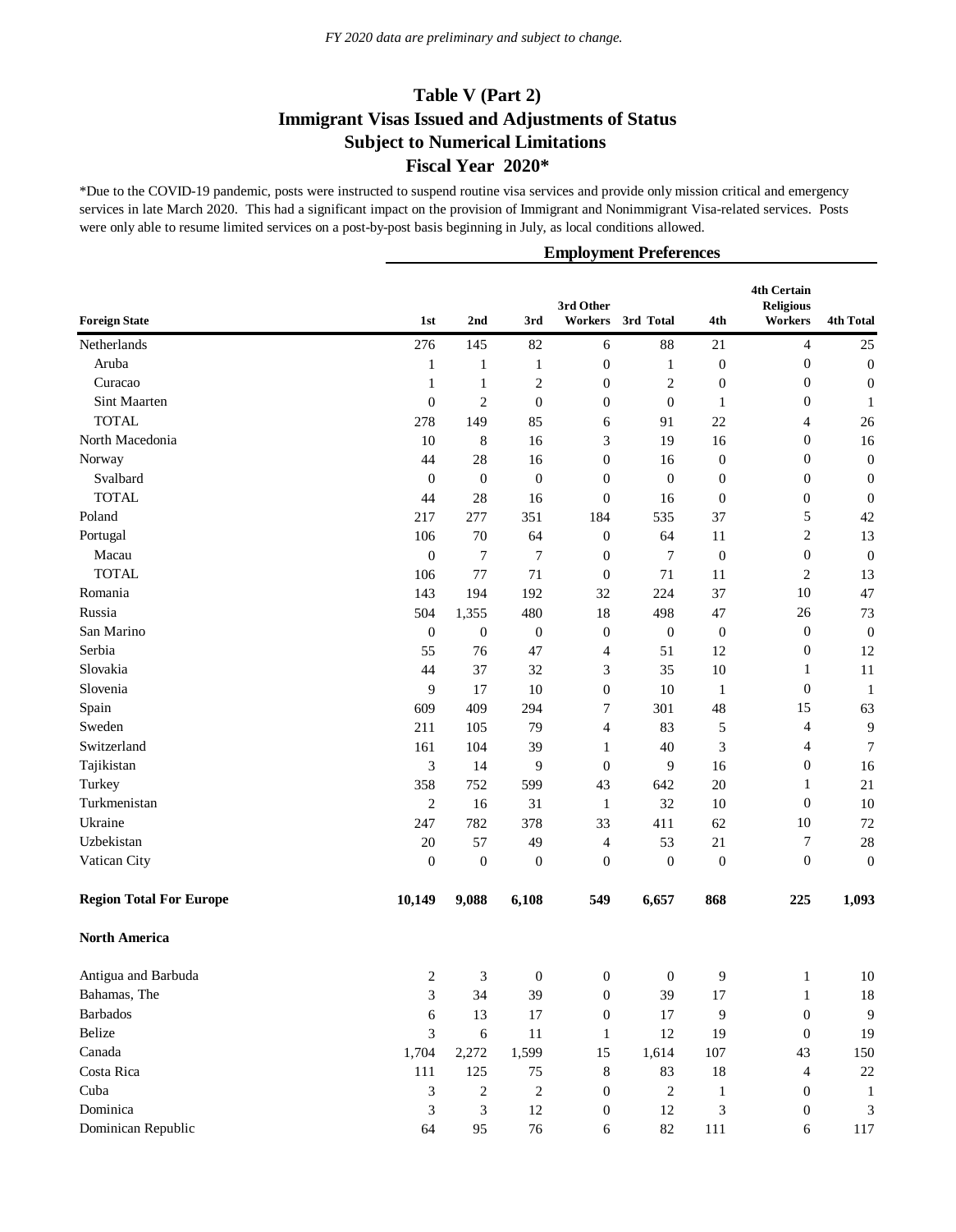\*Due to the COVID-19 pandemic, posts were instructed to suspend routine visa services and provide only mission critical and emergency services in late March 2020. This had a significant impact on the provision of Immigrant and Nonimmigrant Visa-related services. Posts were only able to resume limited services on a post-by-post basis beginning in July, as local conditions allowed.

|                                |                  |                  |                  | 3rd Other        |                  |                  | <b>4th Certain</b><br><b>Religious</b> |                  |
|--------------------------------|------------------|------------------|------------------|------------------|------------------|------------------|----------------------------------------|------------------|
| <b>Foreign State</b>           | 1st              | 2nd              | 3rd              | Workers          | 3rd Total        | 4th              | Workers                                | <b>4th Total</b> |
| Netherlands                    | 276              | 145              | 82               | 6                | 88               | 21               | $\overline{4}$                         | 25               |
| Aruba                          | 1                | 1                | $\mathbf{1}$     | $\boldsymbol{0}$ | $\mathbf{1}$     | $\boldsymbol{0}$ | $\boldsymbol{0}$                       | $\boldsymbol{0}$ |
| Curacao                        | 1                | $\mathbf{1}$     | $\overline{c}$   | $\boldsymbol{0}$ | $\overline{2}$   | $\boldsymbol{0}$ | $\boldsymbol{0}$                       | $\boldsymbol{0}$ |
| Sint Maarten                   | $\mathbf{0}$     | $\overline{c}$   | $\mathbf{0}$     | $\mathbf{0}$     | $\boldsymbol{0}$ | 1                | $\boldsymbol{0}$                       | 1                |
| <b>TOTAL</b>                   | 278              | 149              | 85               | 6                | 91               | 22               | 4                                      | 26               |
| North Macedonia                | 10               | 8                | 16               | 3                | 19               | 16               | $\boldsymbol{0}$                       | 16               |
| Norway                         | 44               | $28\,$           | 16               | $\boldsymbol{0}$ | 16               | $\mathbf{0}$     | $\boldsymbol{0}$                       | $\boldsymbol{0}$ |
| Svalbard                       | $\boldsymbol{0}$ | $\boldsymbol{0}$ | $\boldsymbol{0}$ | $\boldsymbol{0}$ | $\boldsymbol{0}$ | $\boldsymbol{0}$ | $\boldsymbol{0}$                       | $\boldsymbol{0}$ |
| <b>TOTAL</b>                   | 44               | 28               | 16               | $\boldsymbol{0}$ | 16               | $\boldsymbol{0}$ | $\boldsymbol{0}$                       | $\boldsymbol{0}$ |
| Poland                         | 217              | 277              | 351              | 184              | 535              | 37               | 5                                      | 42               |
| Portugal                       | 106              | 70               | 64               | $\mathbf{0}$     | 64               | 11               | $\sqrt{2}$                             | 13               |
| Macau                          | $\mathbf{0}$     | $\tau$           | 7                | $\mathbf{0}$     | $\tau$           | $\mathbf{0}$     | $\boldsymbol{0}$                       | $\boldsymbol{0}$ |
| <b>TOTAL</b>                   | 106              | 77               | 71               | $\boldsymbol{0}$ | 71               | 11               | $\overline{c}$                         | 13               |
| Romania                        | 143              | 194              | 192              | 32               | 224              | 37               | 10                                     | 47               |
| Russia                         | 504              | 1,355            | 480              | 18               | 498              | 47               | 26                                     | 73               |
| San Marino                     | $\mathbf{0}$     | $\boldsymbol{0}$ | $\boldsymbol{0}$ | $\boldsymbol{0}$ | $\boldsymbol{0}$ | $\boldsymbol{0}$ | $\boldsymbol{0}$                       | $\boldsymbol{0}$ |
| Serbia                         | 55               | 76               | 47               | 4                | 51               | 12               | $\boldsymbol{0}$                       | 12               |
| Slovakia                       | 44               | 37               | 32               | 3                | 35               | 10               | $\mathbf{1}$                           | 11               |
| Slovenia                       | 9                | 17               | 10               | $\boldsymbol{0}$ | 10               | $\mathbf{1}$     | $\boldsymbol{0}$                       | $\mathbf{1}$     |
| Spain                          | 609              | 409              | 294              | 7                | 301              | 48               | 15                                     | 63               |
| Sweden                         | 211              | 105              | 79               | 4                | 83               | 5                | 4                                      | $\overline{9}$   |
| Switzerland                    | 161              | 104              | 39               | 1                | 40               | 3                | 4                                      | $\tau$           |
| Tajikistan                     | 3                | 14               | 9                | $\mathbf{0}$     | 9                | 16               | $\boldsymbol{0}$                       | 16               |
| Turkey                         | 358              | 752              | 599              | 43               | 642              | 20               | 1                                      | 21               |
| Turkmenistan                   | $\overline{c}$   | 16               | 31               | $\mathbf{1}$     | 32               | 10               | $\boldsymbol{0}$                       | 10               |
| Ukraine                        | 247              | 782              | 378              | 33               | 411              | 62               | 10                                     | $72\,$           |
| Uzbekistan                     | 20               | 57               | 49               | 4                | 53               | 21               | 7                                      | $28\,$           |
| Vatican City                   | $\mathbf{0}$     | $\boldsymbol{0}$ | $\boldsymbol{0}$ | $\boldsymbol{0}$ | $\boldsymbol{0}$ | $\boldsymbol{0}$ | $\boldsymbol{0}$                       | $\boldsymbol{0}$ |
| <b>Region Total For Europe</b> | 10,149           | 9,088            | 6,108            | 549              | 6,657            | 868              | 225                                    | 1,093            |
| <b>North America</b>           |                  |                  |                  |                  |                  |                  |                                        |                  |
| Antigua and Barbuda            | $\overline{c}$   | 3                | $\boldsymbol{0}$ | $\boldsymbol{0}$ | $\boldsymbol{0}$ | 9                | $\mathbf{1}$                           | $10\,$           |
| Bahamas, The                   | 3                | 34               | 39               | $\boldsymbol{0}$ | 39               | 17               | 1                                      | $18\,$           |
| <b>Barbados</b>                | 6                | 13               | 17               | $\boldsymbol{0}$ | 17               | 9                | $\mathbf{0}$                           | 9                |
| Belize                         | 3                | $\sqrt{6}$       | 11               | $\mathbf{1}$     | 12               | 19               | $\mathbf{0}$                           | 19               |
| Canada                         | 1,704            | 2,272            | 1,599            | 15               | 1,614            | 107              | 43                                     | 150              |
| Costa Rica                     | 111              | 125              | 75               | 8                | 83               | 18               | $\overline{4}$                         | $22\,$           |
| Cuba                           | 3                | $\boldsymbol{2}$ | $\overline{c}$   | $\boldsymbol{0}$ | $\sqrt{2}$       | 1                | $\boldsymbol{0}$                       | $\mathbf{1}$     |
| Dominica                       | 3                | 3                | 12               | $\boldsymbol{0}$ | 12               | 3                | $\boldsymbol{0}$                       | 3                |
| Dominican Republic             | 64               | 95               | 76               | 6                | 82               | 111              | 6                                      | 117              |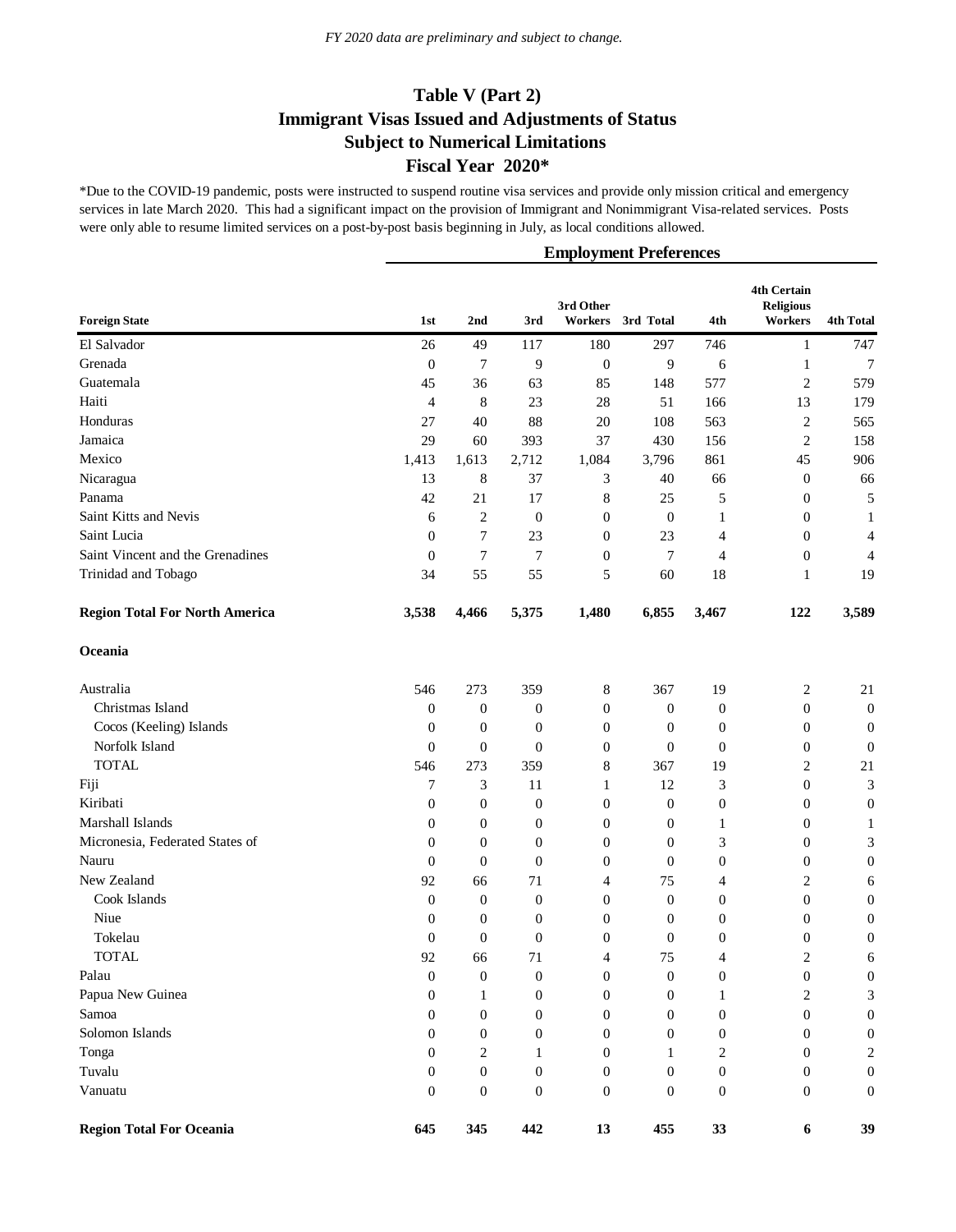\*Due to the COVID-19 pandemic, posts were instructed to suspend routine visa services and provide only mission critical and emergency services in late March 2020. This had a significant impact on the provision of Immigrant and Nonimmigrant Visa-related services. Posts were only able to resume limited services on a post-by-post basis beginning in July, as local conditions allowed.

| <b>Foreign State</b>                  | 1st              | 2 <sub>nd</sub>  | 3rd              | 3rd Other<br>Workers | 3rd Total        | 4th              | 4th Certain<br><b>Religious</b><br>Workers | <b>4th Total</b> |
|---------------------------------------|------------------|------------------|------------------|----------------------|------------------|------------------|--------------------------------------------|------------------|
| El Salvador                           | 26               | 49               | 117              | 180                  | 297              | 746              |                                            | 747              |
| Grenada                               | $\mathbf{0}$     | 7                | 9                | $\boldsymbol{0}$     | 9                | 6                | $\mathbf{1}$<br>$\mathbf{1}$               | 7                |
| Guatemala                             | 45               | 36               | 63               | 85                   | 148              | 577              | $\mathfrak{2}$                             | 579              |
| Haiti                                 | 4                | 8                | 23               | 28                   | 51               | 166              | 13                                         | 179              |
| Honduras                              | 27               | 40               | 88               | 20                   | 108              | 563              | $\overline{2}$                             | 565              |
| Jamaica                               | 29               | 60               | 393              | 37                   | 430              | 156              | $\mathfrak{2}$                             | 158              |
| Mexico                                | 1,413            | 1,613            | 2,712            | 1,084                | 3,796            | 861              | 45                                         | 906              |
| Nicaragua                             | 13               | 8                | 37               | 3                    | 40               | 66               | $\boldsymbol{0}$                           | 66               |
| Panama                                | 42               | 21               | 17               | 8                    | 25               | 5                | $\boldsymbol{0}$                           | 5                |
| Saint Kitts and Nevis                 | 6                | $\overline{c}$   | $\boldsymbol{0}$ | $\mathbf{0}$         | $\mathbf{0}$     | 1                | $\boldsymbol{0}$                           | $\mathbf{1}$     |
| Saint Lucia                           | $\mathbf{0}$     | 7                | 23               | $\mathbf{0}$         | 23               | 4                | $\boldsymbol{0}$                           | 4                |
| Saint Vincent and the Grenadines      | $\theta$         | 7                | 7                | $\mathbf{0}$         | $\overline{7}$   | 4                | $\boldsymbol{0}$                           | 4                |
| Trinidad and Tobago                   | 34               | 55               | 55               | 5                    | 60               | 18               |                                            | 19               |
|                                       |                  |                  |                  |                      |                  |                  | 1                                          |                  |
| <b>Region Total For North America</b> | 3,538            | 4,466            | 5,375            | 1,480                | 6,855            | 3,467            | 122                                        | 3,589            |
| Oceania                               |                  |                  |                  |                      |                  |                  |                                            |                  |
| Australia                             | 546              | 273              | 359              | 8                    | 367              | 19               | $\overline{c}$                             | 21               |
| Christmas Island                      | $\boldsymbol{0}$ | $\boldsymbol{0}$ | $\boldsymbol{0}$ | $\mathbf{0}$         | $\mathbf{0}$     | $\boldsymbol{0}$ | $\boldsymbol{0}$                           | $\boldsymbol{0}$ |
| Cocos (Keeling) Islands               | $\theta$         | 0                | $\boldsymbol{0}$ | $\mathbf{0}$         | $\theta$         | $\boldsymbol{0}$ | $\boldsymbol{0}$                           | $\mathbf{0}$     |
| Norfolk Island                        | $\theta$         | $\theta$         | $\theta$         | $\mathbf{0}$         | $\theta$         | $\boldsymbol{0}$ | $\boldsymbol{0}$                           | $\boldsymbol{0}$ |
| <b>TOTAL</b>                          | 546              | 273              | 359              | 8                    | 367              | 19               | $\overline{2}$                             | 21               |
| Fiji                                  | 7                | 3                | 11               | 1                    | 12               | 3                | $\boldsymbol{0}$                           | 3                |
| Kiribati                              | $\theta$         | 0                | $\boldsymbol{0}$ | $\boldsymbol{0}$     | $\mathbf{0}$     | $\boldsymbol{0}$ | $\boldsymbol{0}$                           | $\boldsymbol{0}$ |
| Marshall Islands                      | $\overline{0}$   | $\boldsymbol{0}$ | $\boldsymbol{0}$ | $\mathbf{0}$         | $\boldsymbol{0}$ | 1                | $\boldsymbol{0}$                           | 1                |
| Micronesia, Federated States of       | $\overline{0}$   | 0                | $\boldsymbol{0}$ | $\mathbf{0}$         | $\mathbf{0}$     | 3                | $\boldsymbol{0}$                           | 3                |
| Nauru                                 | $\overline{0}$   | $\boldsymbol{0}$ | $\boldsymbol{0}$ | $\boldsymbol{0}$     | $\theta$         | $\boldsymbol{0}$ | $\boldsymbol{0}$                           | $\boldsymbol{0}$ |
| New Zealand                           | 92               | 66               | 71               | 4                    | 75               | 4                | $\overline{2}$                             | 6                |
| Cook Islands                          | $\mathbf{0}$     | $\mathbf{0}$     | $\boldsymbol{0}$ | $\mathbf{0}$         | $\mathbf{0}$     | $\boldsymbol{0}$ | $\boldsymbol{0}$                           | $\boldsymbol{0}$ |
| Niue                                  | $\boldsymbol{0}$ | $\boldsymbol{0}$ | $\boldsymbol{0}$ | $\mathbf{0}$         | $\mathbf{0}$     | $\boldsymbol{0}$ | $\boldsymbol{0}$                           | $\boldsymbol{0}$ |
| Tokelau                               | $\boldsymbol{0}$ | $\boldsymbol{0}$ | $\boldsymbol{0}$ | $\boldsymbol{0}$     | $\boldsymbol{0}$ | 0                | $\boldsymbol{0}$                           | $\boldsymbol{0}$ |
| <b>TOTAL</b>                          | 92               | 66               | 71               | 4                    | 75               | 4                | $\overline{2}$                             | 6                |
| Palau                                 | $\boldsymbol{0}$ | $\boldsymbol{0}$ | $\mathbf{0}$     | $\boldsymbol{0}$     | $\boldsymbol{0}$ | $\boldsymbol{0}$ | $\boldsymbol{0}$                           | $\boldsymbol{0}$ |
| Papua New Guinea                      | 0                | 1                | $\mathbf{0}$     | $\mathbf{0}$         | $\mathbf{0}$     | 1                | 2                                          | 3                |
| Samoa                                 | $\overline{0}$   | $\boldsymbol{0}$ | $\mathbf{0}$     | $\mathbf{0}$         | $\mathbf{0}$     | $\boldsymbol{0}$ | $\boldsymbol{0}$                           | $\boldsymbol{0}$ |
| Solomon Islands                       | $\overline{0}$   | 0                | 0                | $\mathbf{0}$         | $\mathbf{0}$     | 0                | $\boldsymbol{0}$                           | $\boldsymbol{0}$ |
| Tonga                                 | $\theta$         | 2                | 1                | $\mathbf{0}$         | $\mathbf{1}$     | 2                | $\boldsymbol{0}$                           | $\boldsymbol{2}$ |
| Tuvalu                                | $\overline{0}$   | $\boldsymbol{0}$ | $\boldsymbol{0}$ | $\mathbf{0}$         | $\mathbf{0}$     | $\boldsymbol{0}$ | $\boldsymbol{0}$                           | $\boldsymbol{0}$ |
| Vanuatu                               | $\mathbf{0}$     | $\boldsymbol{0}$ | $\mathbf{0}$     | $\boldsymbol{0}$     | $\boldsymbol{0}$ | $\boldsymbol{0}$ | $\boldsymbol{0}$                           | $\boldsymbol{0}$ |
| <b>Region Total For Oceania</b>       | 645              | 345              | 442              | 13                   | 455              | 33               | $\boldsymbol{6}$                           | 39               |